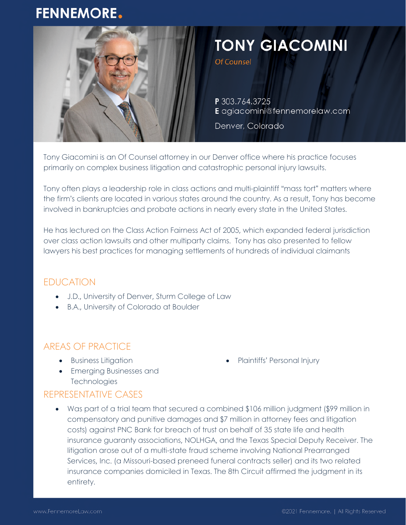# **FENNEMORE.**



# **TONY GIACOMINI**

Of Counsel

P 303.764.3725 E agiacomini@fennemorelaw.com

Denver, Colorado

Tony Giacomini is an Of Counsel attorney in our Denver office where his practice focuses primarily on complex business litigation and catastrophic personal injury lawsuits.

Tony often plays a leadership role in class actions and multi-plaintiff "mass tort" matters where the firm's clients are located in various states around the country. As a result, Tony has become involved in bankruptcies and probate actions in nearly every state in the United States.

He has lectured on the Class Action Fairness Act of 2005, which expanded federal jurisdiction over class action lawsuits and other multiparty claims. Tony has also presented to fellow lawyers his best practices for managing settlements of hundreds of individual claimants

# EDUCATION

- J.D., University of Denver, Sturm College of Law
- B.A., University of Colorado at Boulder

# AREAS OF PRACTICE

**•** Business Litigation

• Plaintiffs' Personal Injury

**•** Emerging Businesses and **Technologies** 

# REPRESENTATIVE CASES

 Was part of a trial team that secured a combined \$106 million judgment (\$99 million in compensatory and punitive damages and \$7 million in attorney fees and litigation costs) against PNC Bank for breach of trust on behalf of 35 state life and health insurance guaranty associations, NOLHGA, and the Texas Special Deputy Receiver. The litigation arose out of a multi-state fraud scheme involving National Prearranged Services, Inc. (a Missouri-based preneed funeral contracts seller) and its two related insurance companies domiciled in Texas. The 8th Circuit affirmed the judgment in its entirety.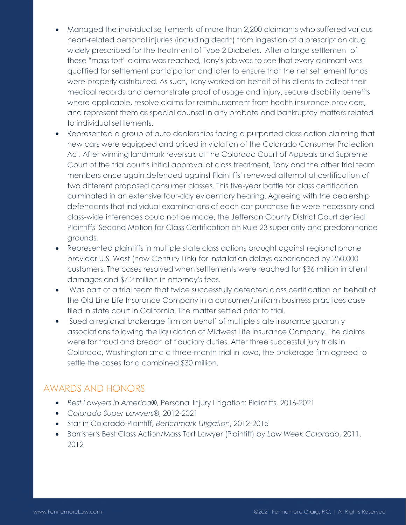- Managed the individual settlements of more than 2,200 claimants who suffered various heart-related personal injuries (including death) from ingestion of a prescription drug widely prescribed for the treatment of Type 2 Diabetes. After a large settlement of these "mass tort" claims was reached, Tony's job was to see that every claimant was qualified for settlement participation and later to ensure that the net settlement funds were properly distributed. As such, Tony worked on behalf of his clients to collect their medical records and demonstrate proof of usage and injury, secure disability benefits where applicable, resolve claims for reimbursement from health insurance providers, and represent them as special counsel in any probate and bankruptcy matters related to individual settlements.
- Represented a group of auto dealerships facing a purported class action claiming that new cars were equipped and priced in violation of the Colorado Consumer Protection Act. After winning landmark reversals at the Colorado Court of Appeals and Supreme Court of the trial court's initial approval of class treatment, Tony and the other trial team members once again defended against Plaintiffs' renewed attempt at certification of two different proposed consumer classes. This five-year battle for class certification culminated in an extensive four-day evidentiary hearing. Agreeing with the dealership defendants that individual examinations of each car purchase file were necessary and class-wide inferences could not be made, the Jefferson County District Court denied Plaintiffs' Second Motion for Class Certification on Rule 23 superiority and predominance grounds.
- Represented plaintiffs in multiple state class actions brought against regional phone provider U.S. West (now Century Link) for installation delays experienced by 250,000 customers. The cases resolved when settlements were reached for \$36 million in client damages and \$7.2 million in attorney's fees.
- Was part of a trial team that twice successfully defeated class certification on behalf of the Old Line Life Insurance Company in a consumer/uniform business practices case filed in state court in California. The matter settled prior to trial.
- Sued a regional brokerage firm on behalf of multiple state insurance guaranty associations following the liquidation of Midwest Life Insurance Company. The claims were for fraud and breach of fiduciary duties. After three successful jury trials in Colorado, Washington and a three-month trial in Iowa, the brokerage firm agreed to settle the cases for a combined \$30 million.

#### AWARDS AND HONORS

- *Best Lawyers in America®,* Personal Injury Litigation: Plaintiffs, 2016-2021
- *Colorado Super Lawyers*®, 2012-2021
- Star in Colorado-Plaintiff, *Benchmark Litigation*, 2012-2015
- Barrister's Best Class Action/Mass Tort Lawyer (Plaintiff) by *Law Week Colorado*, 2011, 2012